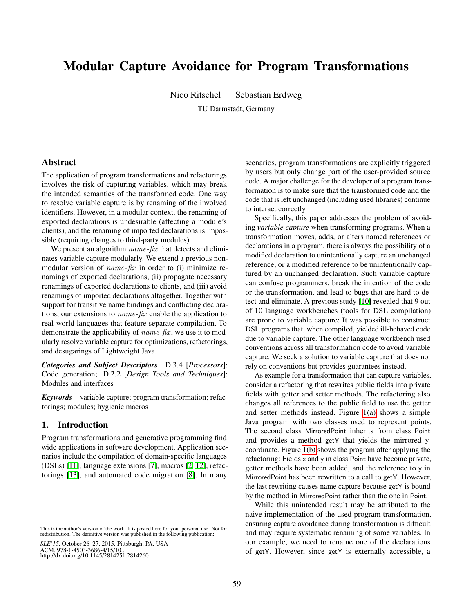# Modular Capture Avoidance for Program Transformations

Nico Ritschel Sebastian Erdweg

TU Darmstadt, Germany

# Abstract

The application of program transformations and refactorings involves the risk of capturing variables, which may break the intended semantics of the transformed code. One way to resolve variable capture is by renaming of the involved identifiers. However, in a modular context, the renaming of exported declarations is undesirable (affecting a module's clients), and the renaming of imported declarations is impossible (requiring changes to third-party modules).

We present an algorithm name*-*fix that detects and eliminates variable capture modularly. We extend a previous nonmodular version of name*-*fix in order to (i) minimize renamings of exported declarations, (ii) propagate necessary renamings of exported declarations to clients, and (iii) avoid renamings of imported declarations altogether. Together with support for transitive name bindings and conflicting declarations, our extensions to name*-*fix enable the application to real-world languages that feature separate compilation. To demonstrate the applicability of *name-fix*, we use it to modularly resolve variable capture for optimizations, refactorings, and desugarings of Lightweight Java.

*Categories and Subject Descriptors* D.3.4 [*Processors*]: Code generation; D.2.2 [*Design Tools and Techniques*]: Modules and interfaces

*Keywords* variable capture; program transformation; refactorings; modules; hygienic macros

# 1. Introduction

Program transformations and generative programming find wide applications in software development. Application scenarios include the compilation of domain-specific languages (DSLs) [\[11\]](#page-11-0), language extensions [\[7\]](#page-11-1), macros [\[2,](#page-10-0) [12\]](#page-11-2), refactorings [\[13\]](#page-11-3), and automated code migration [\[8\]](#page-11-4). In many

*SLE'15*, October 26–27, 2015, Pittsburgh, PA, USA ACM. 978-1-4503-3686-4/15/10... http://dx.doi.org/10.1145/2814251.2814260

scenarios, program transformations are explicitly triggered by users but only change part of the user-provided source code. A major challenge for the developer of a program transformation is to make sure that the transformed code and the code that is left unchanged (including used libraries) continue to interact correctly.

Specifically, this paper addresses the problem of avoiding *variable capture* when transforming programs. When a transformation moves, adds, or alters named references or declarations in a program, there is always the possibility of a modified declaration to unintentionally capture an unchanged reference, or a modified reference to be unintentionally captured by an unchanged declaration. Such variable capture can confuse programmers, break the intention of the code or the transformation, and lead to bugs that are hard to detect and eliminate. A previous study [\[10\]](#page-11-5) revealed that 9 out of 10 language workbenches (tools for DSL compilation) are prone to variable capture: It was possible to construct DSL programs that, when compiled, yielded ill-behaved code due to variable capture. The other language workbench used conventions across all transformation code to avoid variable capture. We seek a solution to variable capture that does not rely on conventions but provides guarantees instead.

As example for a transformation that can capture variables, consider a refactoring that rewrites public fields into private fields with getter and setter methods. The refactoring also changes all references to the public field to use the getter and setter methods instead. Figure [1\(a\)](#page-1-0) shows a simple Java program with two classes used to represent points. The second class MirroredPoint inherits from class Point and provides a method getY that yields the mirrored ycoordinate. Figure [1\(b\)](#page-1-1) shows the program after applying the refactoring: Fields  $\times$  and  $\times$  in class Point have become private, getter methods have been added, and the reference to y in MirroredPoint has been rewritten to a call to getY. However, the last rewriting causes name capture because getY is bound by the method in MirroredPoint rather than the one in Point.

While this unintended result may be attributed to the naive implementation of the used program transformation, ensuring capture avoidance during transformation is difficult and may require systematic renaming of some variables. In our example, we need to rename one of the declarations of getY. However, since getY is externally accessible, a

This is the author's version of the work. It is posted here for your personal use. Not for redistribution. The definitive version was published in the following publication: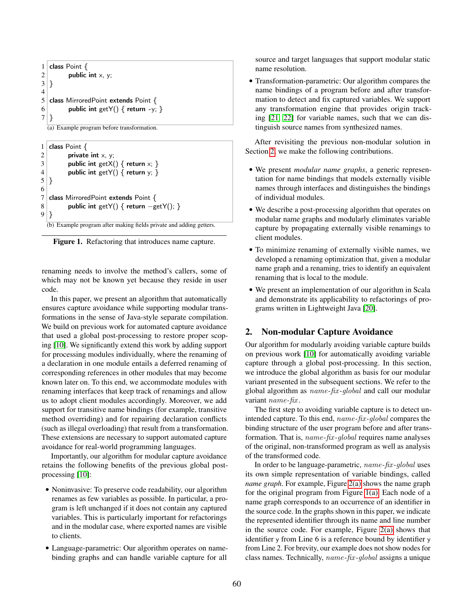```
1 class Point \{\begin{bmatrix} 2 \\ 3 \end{bmatrix} public int x, y;
  \vert \}4
5 class MirroredPoint extends Point {
6 public int getY() \{ return -y; \}7 }
```
(a) Example program before transformation.

<span id="page-1-1"></span>

| 1              | class Point $\{$                                                    |
|----------------|---------------------------------------------------------------------|
| $\overline{2}$ | private int $x, y$ ;                                                |
| 3              | public int get $X() \{$ return $x; \}$                              |
| $\overline{4}$ | public int getY() { return $y$ ; }                                  |
|                |                                                                     |
| 6              |                                                                     |
|                | class MirroredPoint extends Point {                                 |
| 8              | public int getY() { return $-\text{getY}()$ ; }                     |
|                |                                                                     |
|                | (b) Example program after making fields private and adding getters. |

<span id="page-1-3"></span>Figure 1. Refactoring that introduces name capture.

renaming needs to involve the method's callers, some of which may not be known yet because they reside in user code.

In this paper, we present an algorithm that automatically ensures capture avoidance while supporting modular transformations in the sense of Java-style separate compilation. We build on previous work for automated capture avoidance that used a global post-processing to restore proper scoping [\[10\]](#page-11-5). We significantly extend this work by adding support for processing modules individually, where the renaming of a declaration in one module entails a deferred renaming of corresponding references in other modules that may become known later on. To this end, we accommodate modules with renaming interfaces that keep track of renamings and allow us to adopt client modules accordingly. Moreover, we add support for transitive name bindings (for example, transitive method overriding) and for repairing declaration conflicts (such as illegal overloading) that result from a transformation. These extensions are necessary to support automated capture avoidance for real-world programming languages.

Importantly, our algorithm for modular capture avoidance retains the following benefits of the previous global postprocessing [\[10\]](#page-11-5):

- Noninvasive: To preserve code readability, our algorithm renames as few variables as possible. In particular, a program is left unchanged if it does not contain any captured variables. This is particularly important for refactorings and in the modular case, where exported names are visible to clients.
- Language-parametric: Our algorithm operates on namebinding graphs and can handle variable capture for all

source and target languages that support modular static name resolution.

• Transformation-parametric: Our algorithm compares the name bindings of a program before and after transformation to detect and fix captured variables. We support any transformation engine that provides origin tracking [\[21,](#page-11-6) [22\]](#page-11-7) for variable names, such that we can distinguish source names from synthesized names.

After revisiting the previous non-modular solution in Section [2,](#page-1-2) we make the following contributions.

- We present *modular name graphs*, a generic representation for name bindings that models externally visible names through interfaces and distinguishes the bindings of individual modules.
- We describe a post-processing algorithm that operates on modular name graphs and modularly eliminates variable capture by propagating externally visible renamings to client modules.
- To minimize renaming of externally visible names, we developed a renaming optimization that, given a modular name graph and a renaming, tries to identify an equivalent renaming that is local to the module.
- We present an implementation of our algorithm in Scala and demonstrate its applicability to refactorings of programs written in Lightweight Java [\[20\]](#page-11-8).

# <span id="page-1-2"></span>2. Non-modular Capture Avoidance

Our algorithm for modularly avoiding variable capture builds on previous work [\[10\]](#page-11-5) for automatically avoiding variable capture through a global post-processing. In this section, we introduce the global algorithm as basis for our modular variant presented in the subsequent sections. We refer to the global algorithm as name*-*fix *-*global and call our modular variant name*-*fix .

The first step to avoiding variable capture is to detect unintended capture. To this end, name*-*fix *-*global compares the binding structure of the user program before and after transformation. That is, name*-*fix *-*global requires name analyses of the original, non-transformed program as well as analysis of the transformed code.

In order to be language-parametric, name*-*fix *-*global uses its own simple representation of variable bindings, called *name graph*. For example, Figure [2\(a\)](#page-2-0) shows the name graph for the original program from Figure [1\(a\).](#page-1-0) Each node of a name graph corresponds to an occurrence of an identifier in the source code. In the graphs shown in this paper, we indicate the represented identifier through its name and line number in the source code. For example, Figure  $2(a)$  shows that identifier y from Line 6 is a reference bound by identifier y from Line 2. For brevity, our example does not show nodes for class names. Technically, name*-*fix *-*global assigns a unique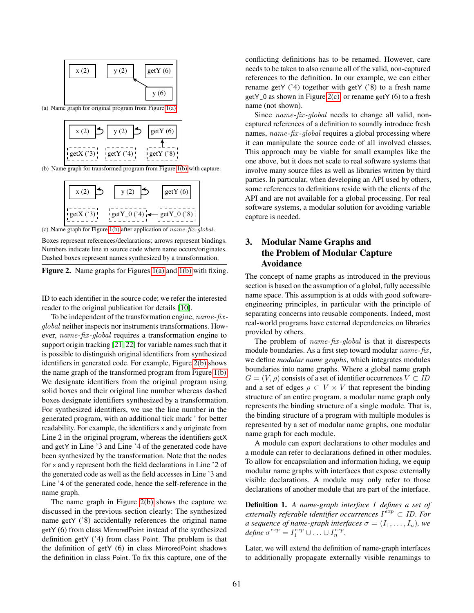<span id="page-2-0"></span>

<span id="page-2-1"></span>

<span id="page-2-2"></span>(b) Name graph for transformed program from Figure [1\(b\)](#page-1-1) with capture.



(c) Name graph for Figure [1\(b\)](#page-1-1) after application of name*-*fix*-*global.

Boxes represent references/declarations; arrows represent bindings. Numbers indicate line in source code where name occurs/originates. Dashed boxes represent names synthesized by a transformation.

<span id="page-2-3"></span>Figure 2. Name graphs for Figures [1\(a\)](#page-1-0) and [1\(b\)](#page-1-1) with fixing.

ID to each identifier in the source code; we refer the interested reader to the original publication for details [\[10\]](#page-11-5).

To be independent of the transformation engine, name*-*fix  global neither inspects nor instruments transformations. However, name*-*fix *-*global requires a transformation engine to support origin tracking [\[21,](#page-11-6) [22\]](#page-11-7) for variable names such that it is possible to distinguish original identifiers from synthesized identifiers in generated code. For example, Figure [2\(b\)](#page-2-1) shows the name graph of the transformed program from Figure [1\(b\).](#page-1-1) We designate identifiers from the original program using solid boxes and their original line number whereas dashed boxes designate identifiers synthesized by a transformation. For synthesized identifiers, we use the line number in the generated program, with an additional tick mark ' for better readability. For example, the identifiers  $\times$  and  $\times$  originate from Line 2 in the original program, whereas the identifiers getX and getY in Line '3 and Line '4 of the generated code have been synthesized by the transformation. Note that the nodes for  $\times$  and  $\times$  represent both the field declarations in Line  $\dot{2}$  of the generated code as well as the field accesses in Line '3 and Line '4 of the generated code, hence the self-reference in the name graph.

The name graph in Figure [2\(b\)](#page-2-1) shows the capture we discussed in the previous section clearly: The synthesized name getY ('8) accidentally references the original name getY (6) from class MirroredPoint instead of the synthesized definition getY ('4) from class Point. The problem is that the definition of getY (6) in class MirroredPoint shadows the definition in class Point. To fix this capture, one of the

conflicting definitions has to be renamed. However, care needs to be taken to also rename all of the valid, non-captured references to the definition. In our example, we can either rename getY  $('4)$  together with getY  $('8)$  to a fresh name getY\_0 as shown in Figure [2\(c\),](#page-2-2) or rename getY (6) to a fresh name (not shown).

Since *name-fix-global* needs to change all valid, noncaptured references of a definition to soundly introduce fresh names, *name-fix-global* requires a global processing where it can manipulate the source code of all involved classes. This approach may be viable for small examples like the one above, but it does not scale to real software systems that involve many source files as well as libraries written by third parties. In particular, when developing an API used by others, some references to definitions reside with the clients of the API and are not available for a global processing. For real software systems, a modular solution for avoiding variable capture is needed.

# <span id="page-2-4"></span>3. Modular Name Graphs and the Problem of Modular Capture Avoidance

The concept of name graphs as introduced in the previous section is based on the assumption of a global, fully accessible name space. This assumption is at odds with good softwareengineering principles, in particular with the principle of separating concerns into reusable components. Indeed, most real-world programs have external dependencies on libraries provided by others.

The problem of name*-*fix *-*global is that it disrespects module boundaries. As a first step toward modular name*-*fix , we define *modular name graphs*, which integrates modules boundaries into name graphs. Where a global name graph  $G = (V, \rho)$  consists of a set of identifier occurrences  $V \subset ID$ and a set of edges  $\rho \subset V \times V$  that represent the binding structure of an entire program, a modular name graph only represents the binding structure of a single module. That is, the binding structure of a program with multiple modules is represented by a set of modular name graphs, one modular name graph for each module.

A module can export declarations to other modules and a module can refer to declarations defined in other modules. To allow for encapsulation and information hiding, we equip modular name graphs with interfaces that expose externally visible declarations. A module may only refer to those declarations of another module that are part of the interface.

Definition 1. *A name-graph interface* I *defines a set of externally referable identifier occurrences*  $I^{exp}$  ⊂ *ID. For*  $a$  sequence of name-graph interfaces  $\sigma=(I_1,\ldots,I_n)$ , we  $\textit{define } \sigma^{exp} = I_1^{exp} \cup \ldots \cup I_n^{exp}.$ 

Later, we will extend the definition of name-graph interfaces to additionally propagate externally visible renamings to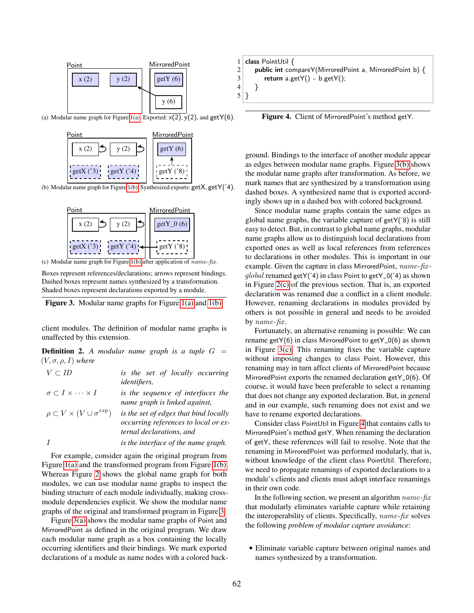<span id="page-3-1"></span>

<span id="page-3-2"></span>(a) Modular name graph for Figure [1\(a\).](#page-1-0) Exported:  $x(2)$ ,  $y(2)$ , and getY(6).



<span id="page-3-3"></span>(b) Modular name graph for Figure [1\(b\).](#page-1-1) Synthesized exports: getX, getY('4).



(c) Modular name graph for Figure [1\(b\)](#page-1-1) after application of name*-*fix.

Boxes represent references/declarations; arrows represent bindings. Dashed boxes represent names synthesized by a transformation. Shaded boxes represent declarations exported by a module.

<span id="page-3-0"></span>

client modules. The definition of modular name graphs is unaffected by this extension.

| <b>Definition 2.</b> A modular name graph is a tuple $G =$ |  |  |  |  |  |
|------------------------------------------------------------|--|--|--|--|--|
| $(V, \sigma, \rho, I)$ where                               |  |  |  |  |  |

| $\sigma \subset I \times \cdots \times I$     | is the sequence of interfaces the<br>name graph is linked against,                                        |
|-----------------------------------------------|-----------------------------------------------------------------------------------------------------------|
| $\rho \subset V \times (V \cup \sigma^{exp})$ | is the set of edges that bind locally<br>occurring references to local or ex-<br>ternal declarations, and |
|                                               | is the interface of the name graph.                                                                       |

For example, consider again the original program from Figure [1\(a\)](#page-1-0) and the transformed program from Figure [1\(b\).](#page-1-1) Whereas Figure [2](#page-2-3) shows the global name graph for both modules, we can use modular name graphs to inspect the binding structure of each module individually, making crossmodule dependencies explicit. We show the modular name graphs of the original and transformed program in Figure [3.](#page-3-0)

Figure [3\(a\)](#page-3-1) shows the modular name graphs of Point and MirroredPoint as defined in the original program. We draw each modular name graph as a box containing the locally occurring identifiers and their bindings. We mark exported declarations of a module as name nodes with a colored back-

|                | 1   class PointUtil $\{$                                       |
|----------------|----------------------------------------------------------------|
| 2 <sup>1</sup> | <b>public int</b> compareY(MirroredPoint a, MirroredPoint b) { |
| 3              | return a.get $Y() - b.getY()$ ;                                |
| 4 <sup>1</sup> |                                                                |
| $5 \mid \}$    |                                                                |

<span id="page-3-4"></span>Figure 4. Client of MirroredPoint's method getY.

ground. Bindings to the interface of another module appear as edges between modular name graphs. Figure [3\(b\)](#page-3-2) shows the modular name graphs after transformation. As before, we mark names that are synthesized by a transformation using dashed boxes. A synthesized name that is exported accordingly shows up in a dashed box with colored background.

Since modular name graphs contain the same edges as global name graphs, the variable capture of getY('8) is still easy to detect. But, in contrast to global name graphs, modular name graphs allow us to distinguish local declarations from exported ones as well as local references from references to declarations in other modules. This is important in our example. Given the capture in class MirroredPoint, name*-*fix   $qlobal$  renamed getY('4) in class Point to getY\_0('4) as shown in Figure [2\(c\)](#page-2-2) of the previous section. That is, an exported declaration was renamed due a conflict in a client module. However, renaming declarations in modules provided by others is not possible in general and needs to be avoided by name*-*fix .

Fortunately, an alternative renaming is possible: We can rename getY(6) in class MirroredPoint to getY\_0(6) as shown in Figure [3\(c\).](#page-3-3) This renaming fixes the variable capture without imposing changes to class Point. However, this renaming may in turn affect clients of MirroredPoint because MirroredPoint exports the renamed declaration getY\_0(6). Of course, it would have been preferable to select a renaming that does not change any exported declaration. But, in general and in our example, such renaming does not exist and we have to rename exported declarations.

Consider class PointUtil in Figure [4](#page-3-4) that contains calls to MirroredPoint's method getY. When renaming the declaration of getY, these references will fail to resolve. Note that the renaming in MirroredPoint was performed modularly, that is, without knowledge of the client class PointUtil. Therefore, we need to propagate renamings of exported declarations to a module's clients and clients must adopt interface renamings in their own code.

In the following section, we present an algorithm name*-*fix that modularly eliminates variable capture while retaining the interoperability of clients. Specifically, name*-*fix solves the following *problem of modular capture avoidance*:

• Eliminate variable capture between original names and names synthesized by a transformation.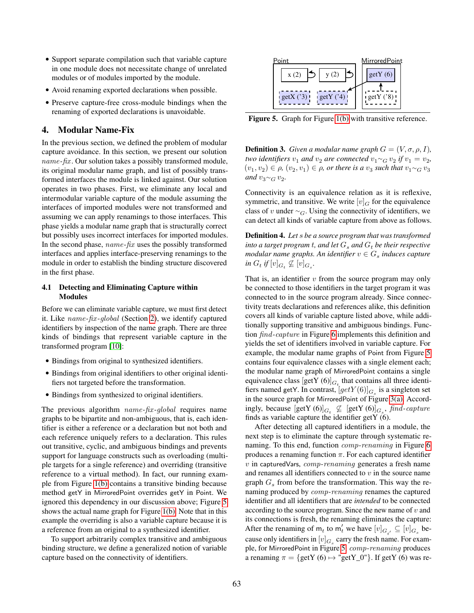- Support separate compilation such that variable capture in one module does not necessitate change of unrelated modules or of modules imported by the module.
- Avoid renaming exported declarations when possible.
- Preserve capture-free cross-module bindings when the renaming of exported declarations is unavoidable.

## <span id="page-4-1"></span>4. Modular Name-Fix

In the previous section, we defined the problem of modular capture avoidance. In this section, we present our solution name-fix. Our solution takes a possibly transformed module, its original modular name graph, and list of possibly transformed interfaces the module is linked against. Our solution operates in two phases. First, we eliminate any local and intermodular variable capture of the module assuming the interfaces of imported modules were not transformed and assuming we can apply renamings to those interfaces. This phase yields a modular name graph that is structurally correct but possibly uses incorrect interfaces for imported modules. In the second phase, name*-*fix uses the possibly transformed interfaces and applies interface-preserving renamings to the module in order to establish the binding structure discovered in the first phase.

#### <span id="page-4-2"></span>4.1 Detecting and Eliminating Capture within **Modules**

Before we can eliminate variable capture, we must first detect it. Like name*-*fix *-*global (Section [2\)](#page-1-2), we identify captured identifiers by inspection of the name graph. There are three kinds of bindings that represent variable capture in the transformed program [\[10\]](#page-11-5):

- Bindings from original to synthesized identifiers.
- Bindings from original identifiers to other original identifiers not targeted before the transformation.
- Bindings from synthesized to original identifiers.

The previous algorithm name*-*fix *-*global requires name graphs to be bipartite and non-ambiguous, that is, each identifier is either a reference or a declaration but not both and each reference uniquely refers to a declaration. This rules out transitive, cyclic, and ambiguous bindings and prevents support for language constructs such as overloading (multiple targets for a single reference) and overriding (transitive reference to a virtual method). In fact, our running example from Figure [1\(b\)](#page-1-1) contains a transitive binding because method getY in MirroredPoint overrides getY in Point. We ignored this dependency in our discussion above; Figure [5](#page-4-0) shows the actual name graph for Figure [1\(b\).](#page-1-1) Note that in this example the overriding is also a variable capture because it is a reference from an original to a synthesized identifier.

To support arbitrarily complex transitive and ambiguous binding structure, we define a generalized notion of variable capture based on the connectivity of identifiers.



<span id="page-4-0"></span>Figure 5. Graph for Figure [1\(b\)](#page-1-1) with transitive reference.

**Definition 3.** *Given a modular name graph*  $G = (V, \sigma, \rho, I)$ *, two identifiers*  $v_1$  *and*  $v_2$  *are connected*  $v_1 \sim_G v_2$  *if*  $v_1 = v_2$ *,*  $(v_1, v_2)$  ∈  $\rho$ ,  $(v_2, v_1)$  ∈  $\rho$ , *or there is a*  $v_3$  *such that*  $v_1 \sim_G v_3$ and  $v_3 \sim_G v_2$ .

Connectivity is an equivalence relation as it is reflexive, symmetric, and transitive. We write  $[v]_G$  for the equivalence class of v under  $\sim_G$ . Using the connectivity of identifiers, we can detect all kinds of variable capture from above as follows.

Definition 4. *Let* s *be a source program that was transformed into a target program t, and let*  $G_s$  *and*  $G_t$  *be their respective*  $\emph{modular name graphs. An identifier } v \in G_s$  induces capture  $\inf G_t$  if  $[v]_{G_t} \nsubseteq [v]_{G_s}$ .

That is, an identifier  $v$  from the source program may only be connected to those identifiers in the target program it was connected to in the source program already. Since connectivity treats declarations and references alike, this definition covers all kinds of variable capture listed above, while additionally supporting transitive and ambiguous bindings. Function find*-*capture in Figure [6](#page-5-0) implements this definition and yields the set of identifiers involved in variable capture. For example, the modular name graphs of Point from Figure [5](#page-4-0) contains four equivalence classes with a single element each; the modular name graph of MirroredPoint contains a single equivalence class  $[\text{getY (6)}]_{G_t}$  that contains all three identifiers named getY. In contrast,  $[getY(6)]_{G_s}$  is a singleton set in the source graph for MirroredPoint of Figure [3\(a\).](#page-3-1) Accordingly, because  $\left[\text{getY (6)}\right]_{G_t} \not\subseteq \left[\text{getY (6)}\right]_{G_s}$ , find-capture finds as variable capture the identifier getY  $(6)$ .

After detecting all captured identifiers in a module, the next step is to eliminate the capture through systematic renaming. To this end, function comp*-*renaming in Figure [6](#page-5-0) produces a renaming function  $\pi$ . For each captured identifier v in capturedVars, comp*-*renaming generates a fresh name and renames all identifiers connected to  $v$  in the source name graph  $G_s$  from before the transformation. This way the renaming produced by comp*-*renaming renames the captured identifier and all identifiers that are *intended* to be connected according to the source program. Since the new name of  $v$  and its connections is fresh, the renaming eliminates the capture: After the renaming of  $m_t$  to  $m'_t$  we have  $[v]_{G_t}$   $\subseteq [v]_{G_s}$  because only identifiers in  $[v]_{G_s}$  carry the fresh name. For example, for MirroredPoint in Figure [5,](#page-4-0) comp*-*renaming produces a renaming  $\pi = \{ getY(6) \mapsto "getY_0"\}.$  If getY (6) was re-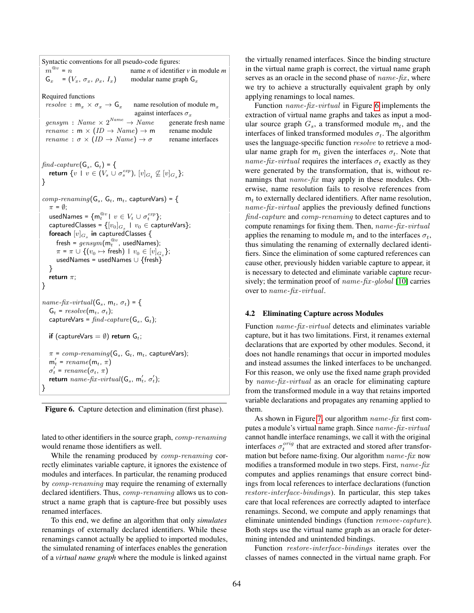Syntactic conventions for all pseudo-code figures:  $m^{\mathbin{\circledast} v}$ = n name *n* of identifier *v* in module *m*  $G_x = (V_x, \sigma_x, \rho_x, I_x)$  modular name graph  $G_x$ Required functions  $resolve : \mathsf{m}_x \times \sigma_x \rightarrow \mathsf{G}_x$  name resolution of module  $\mathsf{m}_x$ against interfaces  $\sigma_x$  $qensym : Name \times 2^{Name} \rightarrow Name$ generate fresh name rename :  $m \times (ID \rightarrow Name) \rightarrow m$  rename module *rename* :  $\sigma \times (ID \rightarrow Name) \rightarrow \sigma$  rename interfaces  $find\text{-}capture(\mathsf{G}_{s},\mathsf{G}_{t}) = \{$ return  $\{v \, \mid \, v \in (V_s \cup \sigma_s^{exp}), [v]_{G_t} \not\subseteq [v]_{G_s}\};$ }  $comp\text{-}renaming(\mathsf{G}_s, \mathsf{G}_t, \mathsf{m}_t, \texttt{captureVars}) = \{$  $\pi = \emptyset$ ; usedNames =  $\{{\mathsf{m}}_t^{{@v}} \mid \, v \in V_t \, \cup \, \sigma_t^{exp}\};$ <code>capturedClasses</code> =  $\{[v_0]_{G_s}\, \mid \, v_0 \in \mathsf{captureVars}\};$ foreach  $[v]_{G_s}$  in capturedClasses {  ${\sf fresh}$  =  $\mathit{gensym}(\mathsf{m}_{t}^@v,\, {\sf usedNames});$  $\pi$  =  $\pi \cup \{(v_0 \mapsto \text{fresh}) \mid v_0 \in [v]_{G_s}\};$ usedNames = usedNames ∪ {fresh} } return  $\pi$ ; }  $name\text{-}fix\text{-}virtual(\mathsf{G}_s, \mathsf{m}_t, \sigma_t)$  = {  $G_t = resolve(m_t, \sigma_t);$ captureVars =  $find\text{-}capture(\mathsf{G}_s, \mathsf{G}_t);$ if (captureVars  $=\emptyset)$  return  $\mathsf{G}_t$ ;  $\pi$  =  $\mathit{comp-renaming}(\mathsf{G}_{s},\, \mathsf{G}_{t},\, \mathsf{m}_{t},\, \mathsf{captureVars});$  $m_t' = \text{rename}(m_t, \pi)$  $\sigma'_t$  = rename $(\sigma_t, \pi)$ return  $name\text{-}fix\text{-}virtual(\mathsf{G}_s, \mathsf{m}'_t, \sigma'_t);$ }

<span id="page-5-0"></span>Figure 6. Capture detection and elimination (first phase).

lated to other identifiers in the source graph, comp*-*renaming would rename those identifiers as well.

While the renaming produced by comp*-*renaming correctly eliminates variable capture, it ignores the existence of modules and interfaces. In particular, the renaming produced by comp*-*renaming may require the renaming of externally declared identifiers. Thus, comp*-*renaming allows us to construct a name graph that is capture-free but possibly uses renamed interfaces.

To this end, we define an algorithm that only *simulates* renamings of externally declared identifiers. While these renamings cannot actually be applied to imported modules, the simulated renaming of interfaces enables the generation of a *virtual name graph* where the module is linked against the virtually renamed interfaces. Since the binding structure in the virtual name graph is correct, the virtual name graph serves as an oracle in the second phase of *name*-fix, where we try to achieve a structurally equivalent graph by only applying renamings to local names.

Function name*-*fix *-*virtual in Figure [6](#page-5-0) implements the extraction of virtual name graphs and takes as input a modular source graph  $G_s$ , a transformed module  $m_t$ , and the interfaces of linked transformed modules  $\sigma_t$ . The algorithm uses the language-specific function *resolve* to retrieve a modular name graph for  $m_t$  given the interfaces  $\sigma_t$ . Note that name-fix-virtual requires the interfaces  $\sigma_t$  exactly as they were generated by the transformation, that is, without renamings that name*-*fix may apply in these modules. Otherwise, name resolution fails to resolve references from  $m_t$  to externally declared identifiers. After name resolution, name*-*fix *-*virtual applies the previously defined functions find*-*capture and comp*-*renaming to detect captures and to compute renamings for fixing them. Then, name*-*fix *-*virtual applies the renaming to module  $m_t$  and to the interfaces  $\sigma_t$ , thus simulating the renaming of externally declared identifiers. Since the elimination of some captured references can cause other, previously hidden variable capture to appear, it is necessary to detected and eliminate variable capture recursively; the termination proof of name*-*fix *-*global [\[10\]](#page-11-5) carries over to *name*-fix-virtual.

#### <span id="page-5-1"></span>4.2 Eliminating Capture across Modules

Function *name-fix-virtual* detects and eliminates variable capture, but it has two limitations. First, it renames external declarations that are exported by other modules. Second, it does not handle renamings that occur in imported modules and instead assumes the linked interfaces to be unchanged. For this reason, we only use the fixed name graph provided by name*-*fix *-*virtual as an oracle for eliminating capture from the transformed module in a way that retains imported variable declarations and propagates any renaming applied to them.

As shown in Figure [7,](#page-6-0) our algorithm name*-*fix first computes a module's virtual name graph. Since name*-*fix *-*virtual cannot handle interface renamings, we call it with the original interfaces  $\sigma_t^{orig}$  that are extracted and stored after transformation but before name-fixing. Our algorithm name*-*fix now modifies a transformed module in two steps. First, name*-*fix computes and applies renamings that ensure correct bindings from local references to interface declarations (function restore*-*interface*-*bindings). In particular, this step takes care that local references are correctly adapted to interface renamings. Second, we compute and apply renamings that eliminate unintended bindings (function remove*-*capture). Both steps use the virtual name graph as an oracle for determining intended and unintended bindings.

Function restore*-*interface*-*bindings iterates over the classes of names connected in the virtual name graph. For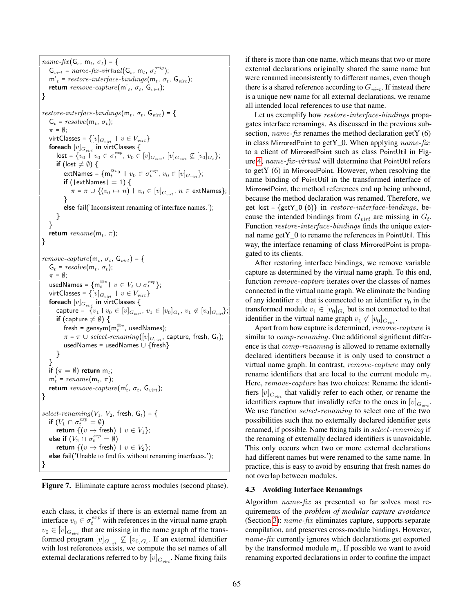```
name\text{-}fix(G_s, m_t, \sigma_t) = {
    G_{virt} = name-fix-virtual(G_s, m<sub>t</sub>, \sigma_t^{orig});
    m'_t = restore-interface-bindings(m_t, \sigma_t, G_{virt});return remove-capture (\textsf{m'}_t, \ \sigma_t, \ \textsf{G}_{virt});}
\mathit{restore-}interface\text{-}bindings(\mathsf{m}_t, \sigma_t, \mathsf{G}_{virt}) = {
    G_t = resolve(m_t, \sigma_t);\pi = \emptyset;
    virtClasses = \{[v]_{G_{virt}} \, \mid \, v \in V_{virt}\}foreach [v]_{G_{virt}} in virtClasses {
        \mathsf{lost} = \{v_0 \mid v_0 \in \sigma_t^{exp}, v_0 \in [v]_{G_{virt}}, [v]_{G_{virt}} \not\subseteq [v_0]_{G_t}\};if (lost \neq \emptyset) {
            {\sf extNames} = \{ {\sf m}_t^{{@v_0}} \ \mid \ v_0 \in \sigma_t^{exp}, \ v_0 \in [v]_{G_{virt}} \};if (|extNames| = 1) {
               \pi = \pi \cup \{(v_0 \mapsto n) \mid v_0 \in [v]_{G_{virt}}, n \in \textsf{extNames}\};}
           else fail('Inconsistent renaming of interface names.');
       }
   }
    return \it rename</math>(<math>m_t, \, \pi</math>);}
remove-capture(m_t, \sigma_t, G_{virt}) = \{G_t = resolve(m_t, \sigma_t);\pi = \emptyset;
    usedNames = \{{\mathsf{m}}_t^{{@v}} \mid \, v \in V_t \, \cup \, \sigma_t^{exp}\};virtClasses = \{[v]_{G_{virt}} \mid v \in V_{virt}\}foreach [v]_{G_{virt}} in virtClasses {
        capture = \{v_1 \mid v_0 \in [v]_{G_{virt}}, v_1 \in [v_0]_{G_t}, v_1 \not\in [v_0]_{G_{virt}}\};if (capture \neq \emptyset) {
            fresh = gensym(\mathsf{m}_t^@^v, usedNames);
            \pi = \pi \cup select\text{-}renaming([v]_{G_{virt}}, capture, fresh, \textsf{G}_t);
           usedNames = usedNames ∪ {fresh}
       }
   }
    if (\pi=\emptyset) return \mathsf{m}_t;m_t' = \text{rename}(m_t, \pi);return remove-capture(m'_t, \sigma_t, G_{virt});}
select-renaming(V_1, V_2, fresh, G_t) = {
    if (V_1 \cap \sigma_t^{exp} = \emptyset)return \{(v \mapsto \text{fresh}) \mid v \in V_1\};
    else if (V_2 \cap \sigma_t^{exp} = \emptyset)return \{(v \mapsto \text{fresh}) \mid v \in V_2\};else fail('Unable to find fix without renaming interfaces.');
}
```
<span id="page-6-0"></span>Figure 7. Eliminate capture across modules (second phase).

each class, it checks if there is an external name from an interface  $v_0 \in \sigma_t^{exp}$  with references in the virtual name graph  $v_0 \in [v]_{G_{virt}}$  that are missing in the name graph of the transformed program  $[v]_{G_{virt}} \nsubseteq [v_0]_{G_t}$ . If an external identifier with lost references exists, we compute the set names of all external declarations referred to by  $[v]_{G_{virt}}$ . Name fixing fails

if there is more than one name, which means that two or more external declarations originally shared the same name but were renamed inconsistently to different names, even though there is a shared reference according to  $G<sub>virt</sub>$ . If instead there is a unique new name for all external declarations, we rename all intended local references to use that name.

Let us exemplify how restore*-*interface*-*bindings propagates interface renamings. As discussed in the previous subsection, name*-*fix renames the method declaration getY (6) in class MirroredPoint to getY\_0. When applying name*-*fix to a client of MirroredPoint such as class PointUtil in Figure [4,](#page-3-4) name*-*fix *-*virtual will determine that PointUtil refers to getY (6) in MirroredPoint. However, when resolving the name binding of PointUtil in the transformed interface of MirroredPoint, the method references end up being unbound, because the method declaration was renamed. Therefore, we get lost = {getY\_0 (6)} in restore*-*interface*-*bindings, because the intended bindings from  $G_{virt}$  are missing in  $G_t$ . Function restore*-*interface*-*bindings finds the unique external name getY 0 to rename the references in PointUtil. This way, the interface renaming of class MirroredPoint is propagated to its clients.

After restoring interface bindings, we remove variable capture as determined by the virtual name graph. To this end, function remove*-*capture iterates over the classes of names connected in the virtual name graph. We eliminate the binding of any identifier  $v_1$  that is connected to an identifier  $v_0$  in the transformed module  $v_1 \in [v_0]_{G_t}$  but is not connected to that identifier in the virtual name graph  $v_1 \notin [v_0]_{G_{virt}}$ .

Apart from how capture is determined, remove*-*capture is similar to comp*-*renaming. One additional significant difference is that comp*-*renaming is allowed to rename externally declared identifiers because it is only used to construct a virtual name graph. In contrast, remove*-*capture may only rename identifiers that are local to the current module  $m_t$ . Here, remove*-*capture has two choices: Rename the identifiers  $[v]_{G_{virt}}$  that validly refer to each other, or rename the identifiers capture that invalidly refer to the ones in  $[v]_{G_{virt}}$ . We use function select*-*renaming to select one of the two possibilities such that no externally declared identifier gets renamed, if possible. Name fixing fails in select*-*renaming if the renaming of externally declared identifiers is unavoidable. This only occurs when two or more external declarations had different names but were renamed to the same name. In practice, this is easy to avoid by ensuring that fresh names do not overlap between modules.

#### <span id="page-6-1"></span>4.3 Avoiding Interface Renamings

Algorithm name*-*fix as presented so far solves most requirements of the *problem of modular capture avoidance* (Section [3\)](#page-2-4): name*-*fix eliminates capture, supports separate compilation, and preserves cross-module bindings. However, name*-*fix currently ignores which declarations get exported by the transformed module  $m_t$ . If possible we want to avoid renaming exported declarations in order to confine the impact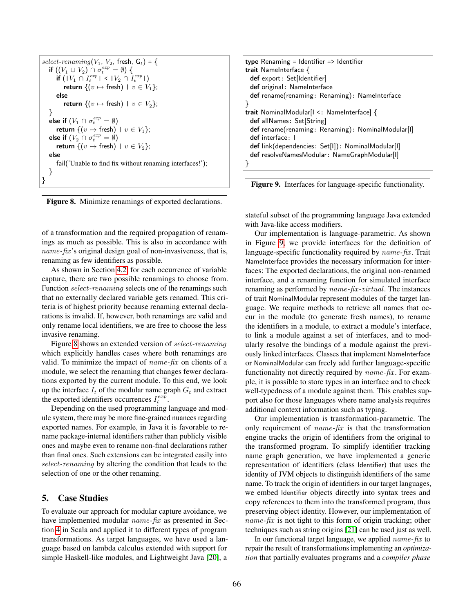| select-renaming $(V_1, V_2,$ fresh, $G_t$ ) = {               |
|---------------------------------------------------------------|
| if $((V_1 \cup V_2) \cap \sigma_t^{exp} = \emptyset)$ {       |
| if $( V_1 \cap I_t^{exp}  <  V_2 \cap I_t^{exp} )$            |
| <b>return</b> $\{(v \mapsto \text{fresh}) \mid v \in V_1\};$  |
| else                                                          |
| <b>return</b> $\{(v \mapsto \text{fresh}) \mid v \in V_2\};$  |
|                                                               |
| else if $(V_1 \cap \sigma_t^{exp} = \emptyset)$               |
| <b>return</b> $\{(v \mapsto \text{fresh}) \mid v \in V_1\};$  |
| else if $(V_2 \cap \sigma_t^{exp} = \emptyset)$               |
| <b>return</b> $\{(v \mapsto \text{fresh}) \mid v \in V_2\}$ : |
| else                                                          |
| fail('Unable to find fix without renaming interfaces!');      |
| -ł                                                            |
|                                                               |

<span id="page-7-0"></span>Figure 8. Minimize renamings of exported declarations.

of a transformation and the required propagation of renamings as much as possible. This is also in accordance with name*-*fix 's original design goal of non-invasiveness, that is, renaming as few identifiers as possible.

As shown in Section [4.2,](#page-5-1) for each occurrence of variable capture, there are two possible renamings to choose from. Function select*-*renaming selects one of the renamings such that no externally declared variable gets renamed. This criteria is of highest priority because renaming external declarations is invalid. If, however, both renamings are valid and only rename local identifiers, we are free to choose the less invasive renaming.

Figure [8](#page-7-0) shows an extended version of select*-*renaming which explicitly handles cases where both renamings are valid. To minimize the impact of name*-*fix on clients of a module, we select the renaming that changes fewer declarations exported by the current module. To this end, we look up the interface  $I_t$  of the modular name graph  $G_t$  and extract the exported identifiers occurrences  $I_t^{exp}$ .

Depending on the used programming language and module system, there may be more fine-grained nuances regarding exported names. For example, in Java it is favorable to rename package-internal identifiers rather than publicly visible ones and maybe even to rename non-final declarations rather than final ones. Such extensions can be integrated easily into select*-*renaming by altering the condition that leads to the selection of one or the other renaming.

# 5. Case Studies

To evaluate our approach for modular capture avoidance, we have implemented modular name*-*fix as presented in Section [4](#page-4-1) in Scala and applied it to different types of program transformations. As target languages, we have used a language based on lambda calculus extended with support for simple Haskell-like modules, and Lightweight Java [\[20\]](#page-11-8), a

| type Renaming = Identifier => Identifier          |
|---------------------------------------------------|
| trait NameInterface {                             |
| def export: Set[Identifier]                       |
| def original: NameInterface                       |
| def rename(renaming: Renaming): NameInterface     |
|                                                   |
| trait NominalModular[I <: NameInterface] {        |
| def allNames: Set[String]                         |
| def rename(renaming: Renaming): NominalModular[I] |
| def interface: I                                  |
| def link(dependencies: Set[I]): NominalModular[I] |
| def resolveNamesModular: NameGraphModular[1]      |
|                                                   |
|                                                   |

<span id="page-7-1"></span>Figure 9. Interfaces for language-specific functionality.

stateful subset of the programming language Java extended with Java-like access modifiers.

Our implementation is language-parametric. As shown in Figure [9,](#page-7-1) we provide interfaces for the definition of language-specific functionality required by *name-fix*. Trait NameInterface provides the necessary information for interfaces: The exported declarations, the original non-renamed interface, and a renaming function for simulated interface renaming as performed by name*-*fix *-*virtual. The instances of trait NominalModular represent modules of the target language. We require methods to retrieve all names that occur in the module (to generate fresh names), to rename the identifiers in a module, to extract a module's interface, to link a module against a set of interfaces, and to modularly resolve the bindings of a module against the previously linked interfaces. Classes that implement NameInterface or NominalModular can freely add further language-specific functionality not directly required by name*-*fix . For example, it is possible to store types in an interface and to check well-typedness of a module against them. This enables support also for those languages where name analysis requires additional context information such as typing.

Our implementation is transformation-parametric. The only requirement of name*-*fix is that the transformation engine tracks the origin of identifiers from the original to the transformed program. To simplify identifier tracking name graph generation, we have implemented a generic representation of identifiers (class Identifier) that uses the identity of JVM objects to distinguish identifiers of the same name. To track the origin of identifiers in our target languages, we embed Identifier objects directly into syntax trees and copy references to them into the transformed program, thus preserving object identity. However, our implementation of name*-*fix is not tight to this form of origin tracking; other techniques such as string origins [\[21\]](#page-11-6) can be used just as well.

In our functional target language, we applied name*-*fix to repair the result of transformations implementing an *optimization* that partially evaluates programs and a *compiler phase*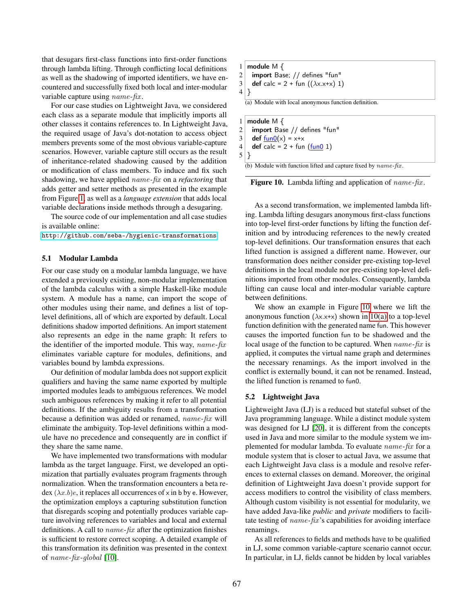that desugars first-class functions into first-order functions through lambda lifting. Through conflicting local definitions as well as the shadowing of imported identifiers, we have encountered and successfully fixed both local and inter-modular variable capture using name*-*fix .

For our case studies on Lightweight Java, we considered each class as a separate module that implicitly imports all other classes it contains references to. In Lightweight Java, the required usage of Java's dot-notation to access object members prevents some of the most obvious variable-capture scenarios. However, variable capture still occurs as the result of inheritance-related shadowing caused by the addition or modification of class members. To induce and fix such shadowing, we have applied name*-*fix on a *refactoring* that adds getter and setter methods as presented in the example from Figure [1,](#page-1-3) as well as a *language extension* that adds local variable declarations inside methods through a desugaring.

The source code of our implementation and all case studies is available online:

[http://github.com/seba–/hygienic-transformations](http://github.com/seba--/hygienic-transformations).

#### 5.1 Modular Lambda

For our case study on a modular lambda language, we have extended a previously existing, non-modular implementation of the lambda calculus with a simple Haskell-like module system. A module has a name, can import the scope of other modules using their name, and defines a list of toplevel definitions, all of which are exported by default. Local definitions shadow imported definitions. An import statement also represents an edge in the name graph: It refers to the identifier of the imported module. This way, name*-*fix eliminates variable capture for modules, definitions, and variables bound by lambda expressions.

Our definition of modular lambda does not support explicit qualifiers and having the same name exported by multiple imported modules leads to ambiguous references. We model such ambiguous references by making it refer to all potential definitions. If the ambiguity results from a transformation because a definition was added or renamed, name*-*fix will eliminate the ambiguity. Top-level definitions within a module have no precedence and consequently are in conflict if they share the same name.

We have implemented two transformations with modular lambda as the target language. First, we developed an optimization that partially evaluates program fragments through normalization. When the transformation encounters a beta redex  $(\lambda x.b)e$ , it replaces all occurrences of x in b by e. However, the optimization employs a capturing substitution function that disregards scoping and potentially produces variable capture involving references to variables and local and external definitions. A call to name*-*fix after the optimization finishes is sufficient to restore correct scoping. A detailed example of this transformation its definition was presented in the context of name*-*fix *-*global [\[10\]](#page-11-5).

```
1 module M \{2 import Base; // defines "fun"
3 def calc = 2 + fun ((\lambda x.x+x) 1)4 }
  (a) Module with local anonymous function definition.
```
1 module  $M \{$ 2 import Base // defines "fun"  $3 \mid \text{def } \underline{\text{fun0}}(x) = x+x$ 4 def calc =  $2 + \text{fun (fun 1)}$  $5$ }

(b) Module with function lifted and capture fixed by name*-*fix.

<span id="page-8-0"></span>Figure 10. Lambda lifting and application of *name-fix*.

As a second transformation, we implemented lambda lifting. Lambda lifting desugars anonymous first-class functions into top-level first-order functions by lifting the function definition and by introducing references to the newly created top-level definitions. Our transformation ensures that each lifted function is assigned a different name. However, our transformation does neither consider pre-existing top-level definitions in the local module nor pre-existing top-level definitions imported from other modules. Consequently, lambda lifting can cause local and inter-modular variable capture between definitions.

We show an example in Figure [10](#page-8-0) where we lift the anonymous function  $(\lambda x.x+x)$  shown in [10\(a\)](#page-8-1) to a top-level function definition with the generated name fun. This however causes the imported function fun to be shadowed and the local usage of the function to be captured. When name*-*fix is applied, it computes the virtual name graph and determines the necessary renamings. As the import involved in the conflict is externally bound, it can not be renamed. Instead, the lifted function is renamed to fun0.

#### 5.2 Lightweight Java

Lightweight Java (LJ) is a reduced but stateful subset of the Java programming language. While a distinct module system was designed for LJ [\[20\]](#page-11-8), it is different from the concepts used in Java and more similar to the module system we implemented for modular lambda. To evaluate name*-*fix for a module system that is closer to actual Java, we assume that each Lightweight Java class is a module and resolve references to external classes on demand. Moreover, the original definition of Lightweight Java doesn't provide support for access modifiers to control the visibility of class members. Although custom visibility is not essential for modularity, we have added Java-like *public* and *private* modifiers to facilitate testing of name*-*fix 's capabilities for avoiding interface renamings.

As all references to fields and methods have to be qualified in LJ, some common variable-capture scenario cannot occur. In particular, in LJ, fields cannot be hidden by local variables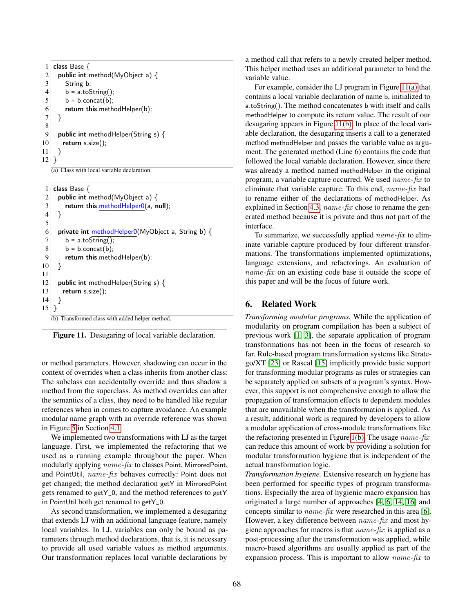```
1 class Base \{2 public int method(MyObject a) \{3 String b;
4 \mid b = a.toString();
5 \mid b = b.concat(b);
6 return this.methodHelper(b);
7 }
8
9 public int methodHelper(String s) \{10 return s.size();
11 \quad \}12 }
```
(a) Class with local variable declaration.

```
1 class Base \{2 public int method(MyObject a) \{3 return this.methodHelper0(a, null);
 4 }
5
6 private int methodHelper0(MyObject a, String b) {
7 \mid b = a.toString();
8 b = b.concat(b);
9 return this.methodHelper(b);
10 }
11
12 public int methodHelper(String s) {
13 return s.size();
14 }
15|}
   (b) Transformed class with added helper method.
```
Figure 11. Desugaring of local variable declaration.

or method parameters. However, shadowing can occur in the context of overrides when a class inherits from another class: The subclass can accidentally override and thus shadow a method from the superclass. As method overrides can alter the semantics of a class, they need to be handled like regular references when in comes to capture avoidance. An example modular name graph with an override reference was shown in Figure [5](#page-4-0) in Section [4.1.](#page-4-2)

We implemented two transformations with LJ as the target language. First, we implemented the refactoring that we used as a running example throughout the paper. When modularly applying name*-*fix to classes Point, MirroredPoint, and PointUtil, name*-*fix behaves correctly: Point does not get changed; the method declaration getY in MirroredPoint gets renamed to getY\_0, and the method references to getY in PointUtil both get renamed to getY\_0.

As second transformation, we implemented a desugaring that extends LJ with an additional language feature, namely local variables. In LJ, variables can only be bound as parameters through method declarations, that is, it is necessary to provide all used variable values as method arguments. Our transformation replaces local variable declarations by

a method call that refers to a newly created helper method. This helper method uses an additional parameter to bind the variable value.

For example, consider the LJ program in Figure [11\(a\)](#page-9-0) that contains a local variable declaration of name b, initialized to a.toString(). The method concatenates b with itself and calls methodHelper to compute its return value. The result of our desugaring appears in Figure [11\(b\).](#page-9-1) In place of the local variable declaration, the desugaring inserts a call to a generated method methodHelper and passes the variable value as argument. The generated method (Line 6) contains the code that followed the local variable declaration. However, since there was already a method named methodHelper in the original program, a variable capture occurred. We used name*-*fix to eliminate that variable capture. To this end, name*-*fix had to rename either of the declarations of methodHelper. As explained in Section [4.3,](#page-6-1) name*-*fix chose to rename the generated method because it is private and thus not part of the interface.

To summarize, we successfully applied name*-*fix to eliminate variable capture produced by four different transformations. The transformations implemented optimizations, language extensions, and refactorings. An evaluation of name*-*fix on an existing code base it outside the scope of this paper and will be the focus of future work.

# 6. Related Work

*Transforming modular programs.* While the application of modularity on program compilation has been a subject of previous work [\[1,](#page-10-1) [3\]](#page-10-2), the separate application of program transformations has not been in the focus of research so far. Rule-based program transformation systems like Stratego/XT [\[23\]](#page-11-9) or Rascal [\[15\]](#page-11-10) implicitly provide basic support for transforming modular programs as rules or strategies can be separately applied on subsets of a program's syntax. However, this support is not comprehensive enough to allow the propagation of transformation effects to dependent modules that are unavailable when the transformation is applied. As a result, additional work is required by developers to allow a modular application of cross-module transformations like the refactoring presented in Figure [1\(b\).](#page-1-1) The usage name*-*fix can reduce this amount of work by providing a solution for modular transformation hygiene that is independent of the actual transformation logic.

*Transformation hygiene.* Extensive research on hygiene has been performed for specific types of program transformations. Especially the area of hygienic macro expansion has originated a large number of approaches [\[4,](#page-10-3) [6,](#page-10-4) [14,](#page-11-11) [16\]](#page-11-12) and concepts similar to name*-*fix were researched in this area [\[6\]](#page-10-4). However, a key difference between name*-*fix and most hygiene approaches for macros is that name*-*fix is applied as a post-processing after the transformation was applied, while macro-based algorithms are usually applied as part of the expansion process. This is important to allow name*-*fix to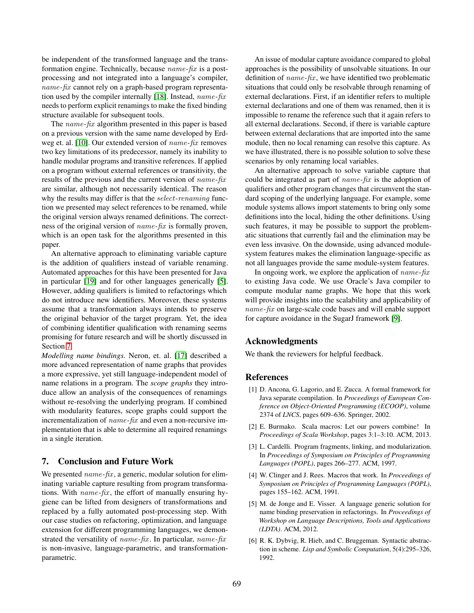be independent of the transformed language and the transformation engine. Technically, because name*-*fix is a postprocessing and not integrated into a language's compiler, name*-*fix cannot rely on a graph-based program representation used by the compiler internally [\[18\]](#page-11-13). Instead, name*-*fix needs to perform explicit renamings to make the fixed binding structure available for subsequent tools.

The name*-*fix algorithm presented in this paper is based on a previous version with the same name developed by Erdweg et. al. [\[10\]](#page-11-5). Our extended version of name*-*fix removes two key limitations of its predecessor, namely its inability to handle modular programs and transitive references. If applied on a program without external references or transitivity, the results of the previous and the current version of name*-*fix are similar, although not necessarily identical. The reason why the results may differ is that the select*-*renaming function we presented may select references to be renamed, while the original version always renamed definitions. The correctness of the original version of name*-*fix is formally proven, which is an open task for the algorithms presented in this paper.

An alternative approach to eliminating variable capture is the addition of qualifiers instead of variable renaming. Automated approaches for this have been presented for Java in particular [\[19\]](#page-11-14) and for other languages generically [\[5\]](#page-10-5). However, adding qualifiers is limited to refactorings which do not introduce new identifiers. Moreover, these systems assume that a transformation always intends to preserve the original behavior of the target program. Yet, the idea of combining identifier qualification with renaming seems promising for future research and will be shortly discussed in Section [7.](#page-10-6)

*Modelling name bindings.* Neron, et. al. [\[17\]](#page-11-15) described a more advanced representation of name graphs that provides a more expressive, yet still language-independent model of name relations in a program. The *scope graphs* they introduce allow an analysis of the consequences of renamings without re-resolving the underlying program. If combined with modularity features, scope graphs could support the incrementalization of name*-*fix and even a non-recursive implementation that is able to determine all required renamings in a single iteration.

# <span id="page-10-6"></span>7. Conclusion and Future Work

We presented *name-fix*, a generic, modular solution for eliminating variable capture resulting from program transformations. With *name-fix*, the effort of manually ensuring hygiene can be lifted from designers of transformations and replaced by a fully automated post-processing step. With our case studies on refactoring, optimization, and language extension for different programming languages, we demonstrated the versatility of name*-*fix . In particular, name*-*fix is non-invasive, language-parametric, and transformationparametric.

An issue of modular capture avoidance compared to global approaches is the possibility of unsolvable situations. In our definition of *name-fix*, we have identified two problematic situations that could only be resolvable through renaming of external declarations. First, if an identifier refers to multiple external declarations and one of them was renamed, then it is impossible to rename the reference such that it again refers to all external declarations. Second, if there is variable capture between external declarations that are imported into the same module, then no local renaming can resolve this capture. As we have illustrated, there is no possible solution to solve these scenarios by only renaming local variables.

An alternative approach to solve variable capture that could be integrated as part of name*-*fix is the adoption of qualifiers and other program changes that circumvent the standard scoping of the underlying language. For example, some module systems allows import statements to bring only some definitions into the local, hiding the other definitions. Using such features, it may be possible to support the problematic situations that currently fail and the elimination may be even less invasive. On the downside, using advanced modulesystem features makes the elimination language-specific as not all languages provide the same module-system features.

In ongoing work, we explore the application of name*-*fix to existing Java code. We use Oracle's Java compiler to compute modular name graphs. We hope that this work will provide insights into the scalability and applicability of name*-*fix on large-scale code bases and will enable support for capture avoidance in the SugarJ framework [\[9\]](#page-11-16).

# Acknowledgments

We thank the reviewers for helpful feedback.

## References

- <span id="page-10-1"></span>[1] D. Ancona, G. Lagorio, and E. Zucca. A formal framework for Java separate compilation. In *Proceedings of European Conference on Object-Oriented Programming (ECOOP)*, volume 2374 of *LNCS*, pages 609–636. Springer, 2002.
- <span id="page-10-0"></span>[2] E. Burmako. Scala macros: Let our powers combine! In *Proceedings of Scala Workshop*, pages 3:1–3:10. ACM, 2013.
- <span id="page-10-2"></span>[3] L. Cardelli. Program fragments, linking, and modularization. In *Proceedings of Symposium on Principles of Programming Languages (POPL)*, pages 266–277. ACM, 1997.
- <span id="page-10-3"></span>[4] W. Clinger and J. Rees. Macros that work. In *Proceedings of Symposium on Principles of Programming Languages (POPL)*, pages 155–162. ACM, 1991.
- <span id="page-10-5"></span>[5] M. de Jonge and E. Visser. A language generic solution for name binding preservation in refactorings. In *Proceedings of Workshop on Language Descriptions, Tools and Applications (LDTA)*. ACM, 2012.
- <span id="page-10-4"></span>[6] R. K. Dybvig, R. Hieb, and C. Bruggeman. Syntactic abstraction in scheme. *Lisp and Symbolic Computation*, 5(4):295–326, 1992.